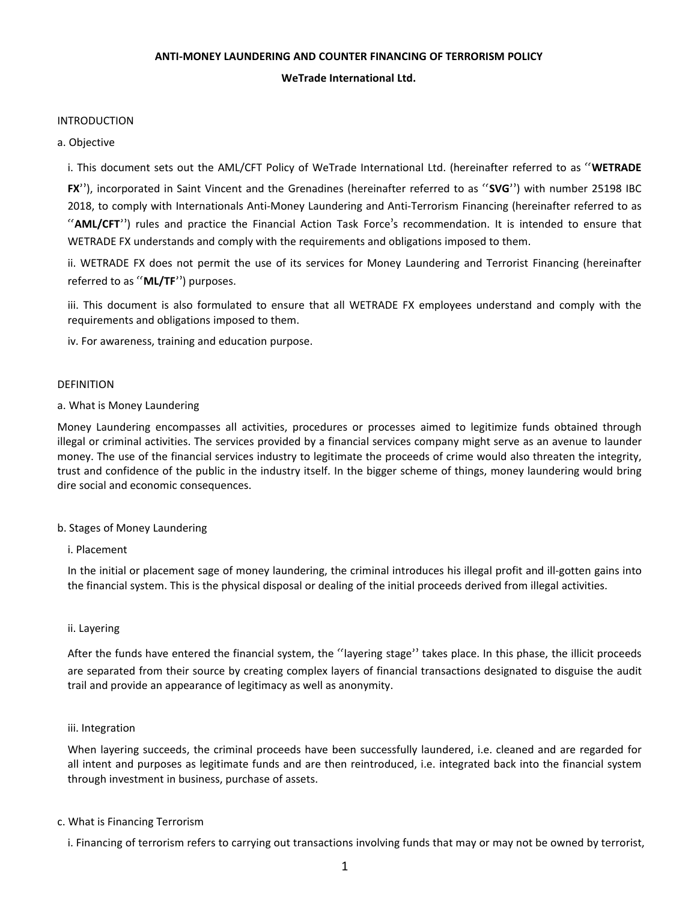# **ANTI-MONEY LAUNDERING AND COUNTER FINANCING OF TERRORISM POLICY**

**WeTrade International Ltd.**

### INTRODUCTION

a. Objective

i. This document sets out the AML/CFT Policy of WeTrade International Ltd. (hereinafter referred to as "**WETRADE**

**FX**"), incorporated in Saint Vincent and the Grenadines (hereinafter referred to as "**SVG**") with number 25198 IBC 2018, to comply with Internationals Anti-Money Laundering and Anti-Terrorism Financing (hereinafter referred to as "**AML/CFT**") rules and practice the Financial Action Task Force's recommendation. It is intended to ensure that WETRADE FX understands and comply with the requirements and obligations imposed to them.

ii. WETRADE FX does not permit the use of its services for Money Laundering and Terrorist Financing (hereinafter referred to as "**ML/TF**") purposes.

iii. This document is also formulated to ensure that all WETRADE FX employees understand and comply with the requirements and obligations imposed to them.

iv. For awareness, training and education purpose.

### DEFINITION

### a. What is Money Laundering

Money Laundering encompasses all activities, procedures or processes aimed to legitimize funds obtained through illegal or criminal activities. The services provided by a financial services company might serve as an avenue to launder money. The use of the financial services industry to legitimate the proceeds of crime would also threaten the integrity, trust and confidence of the public in the industry itself. In the bigger scheme of things, money laundering would bring dire social and economic consequences.

# b. Stages of Money Laundering

i. Placement

In the initial or placement sage of money laundering, the criminal introduces his illegal profit and ill-gotten gains into the financial system. This is the physical disposal or dealing of the initial proceeds derived from illegal activities.

#### ii. Layering

After the funds have entered the financial system, the "layering stage" takes place. In this phase, the illicit proceeds are separated from their source by creating complex layers of financial transactions designated to disguise the audit trail and provide an appearance of legitimacy as well as anonymity.

#### iii. Integration

When layering succeeds, the criminal proceeds have been successfully laundered, i.e. cleaned and are regarded for all intent and purposes as legitimate funds and are then reintroduced, i.e. integrated back into the financial system through investment in business, purchase of assets.

### c. What is Financing Terrorism

i. Financing of terrorism refers to carrying out transactions involving funds that may or may not be owned by terrorist,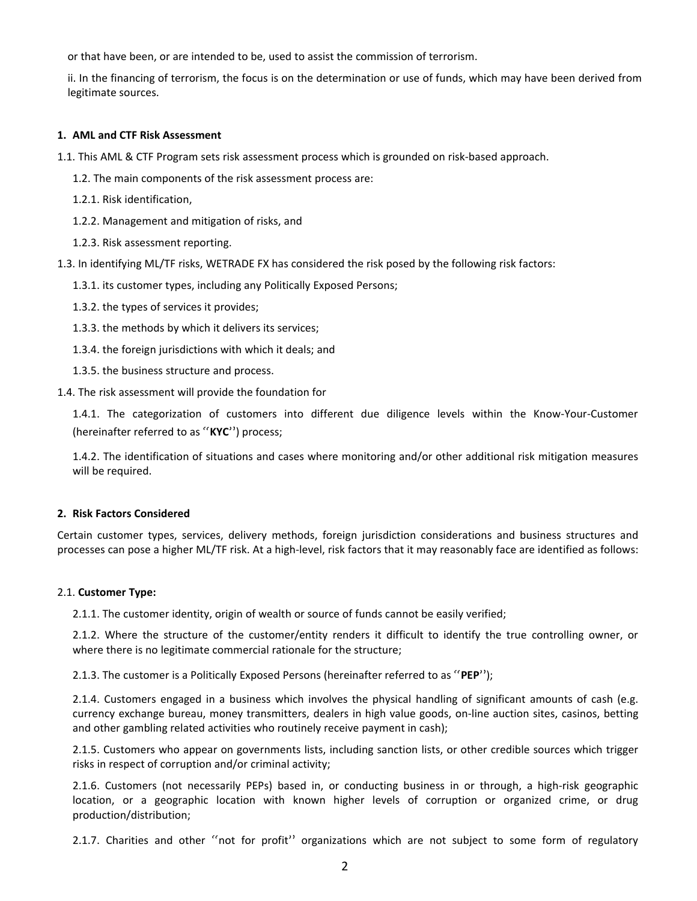or that have been, or are intended to be, used to assist the commission of terrorism.

ii. In the financing of terrorism, the focus is on the determination or use of funds, which may have been derived from legitimate sources.

### **1. AML and CTF Risk Assessment**

- 1.1. This AML & CTF Program sets risk assessment process which is grounded on risk-based approach.
	- 1.2. The main components of the risk assessment process are:
	- 1.2.1. Risk identification,
	- 1.2.2. Management and mitigation of risks, and
	- 1.2.3. Risk assessment reporting.
- 1.3. In identifying ML/TF risks, WETRADE FX has considered the risk posed by the following risk factors:
	- 1.3.1. its customer types, including any Politically Exposed Persons;
	- 1.3.2. the types of services it provides;
	- 1.3.3. the methods by which it delivers its services;
	- 1.3.4. the foreign jurisdictions with which it deals; and
	- 1.3.5. the business structure and process.
- 1.4. The risk assessment will provide the foundation for

1.4.1. The categorization of customers into different due diligence levels within the Know-Your-Customer (hereinafter referred to as "**KYC**") process;

1.4.2. The identification of situations and cases where monitoring and/or other additional risk mitigation measures will be required.

# **2. Risk Factors Considered**

Certain customer types, services, delivery methods, foreign jurisdiction considerations and business structures and processes can pose a higher ML/TF risk. At a high-level, risk factors that it may reasonably face are identified as follows:

#### 2.1. **Customer Type:**

2.1.1. The customer identity, origin of wealth or source of funds cannot be easily verified;

2.1.2. Where the structure of the customer/entity renders it difficult to identify the true controlling owner, or where there is no legitimate commercial rationale for the structure;

2.1.3. The customer is a Politically Exposed Persons (hereinafter referred to as "**PEP**");

2.1.4. Customers engaged in a business which involves the physical handling of significant amounts of cash (e.g. currency exchange bureau, money transmitters, dealers in high value goods, on-line auction sites, casinos, betting and other gambling related activities who routinely receive payment in cash);

2.1.5. Customers who appear on governments lists, including sanction lists, or other credible sources which trigger risks in respect of corruption and/or criminal activity;

2.1.6. Customers (not necessarily PEPs) based in, or conducting business in or through, a high-risk geographic location, or a geographic location with known higher levels of corruption or organized crime, or drug production/distribution;

2.1.7. Charities and other "not for profit" organizations which are not subject to some form of regulatory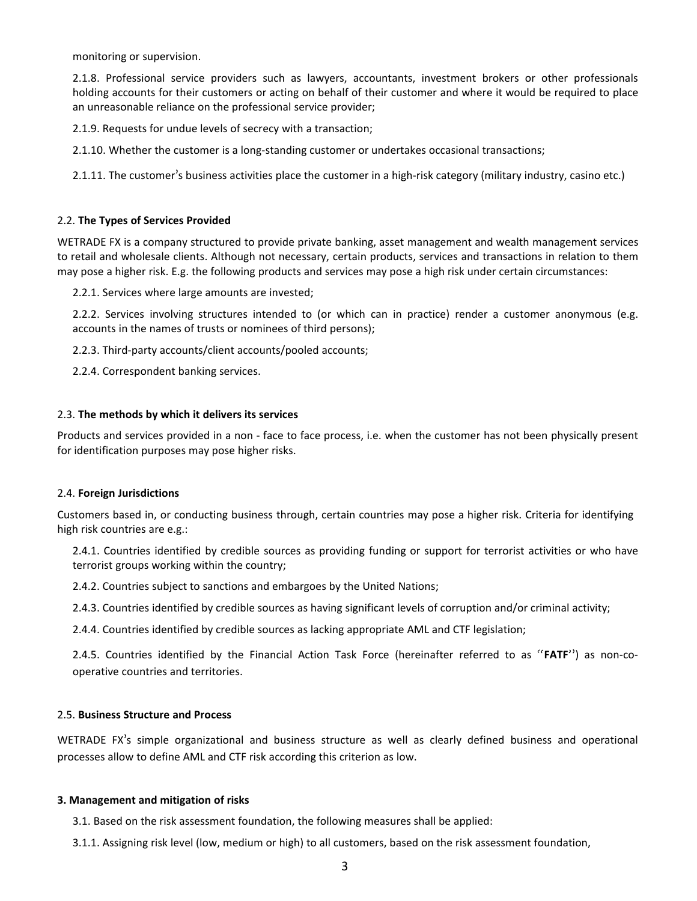monitoring or supervision.

2.1.8. Professional service providers such as lawyers, accountants, investment brokers or other professionals holding accounts for their customers or acting on behalf of their customer and where it would be required to place an unreasonable reliance on the professional service provider;

2.1.9. Requests for undue levels of secrecy with a transaction;

2.1.10. Whether the customer is a long-standing customer or undertakes occasional transactions;

2.1.11. The customer's business activities place the customer in a high-risk category (military industry, casino etc.)

#### 2.2. **The Types of Services Provided**

WETRADE FX is a company structured to provide private banking, asset management and wealth management services to retail and wholesale clients. Although not necessary, certain products, services and transactions in relation to them may pose a higher risk. E.g. the following products and services may pose a high risk under certain circumstances:

2.2.1. Services where large amounts are invested;

2.2.2. Services involving structures intended to (or which can in practice) render a customer anonymous (e.g. accounts in the names of trusts or nominees of third persons);

2.2.3. Third-party accounts/client accounts/pooled accounts;

2.2.4. Correspondent banking services.

### 2.3. **The methods by which it delivers its services**

Products and services provided in a non -face to face process, i.e. when the customer has not been physically present for identification purposes may pose higher risks.

#### 2.4. **Foreign Jurisdictions**

Customers based in, or conducting business through, certain countries may pose a higher risk. Criteria for identifying high risk countries are e.g.:

2.4.1. Countries identified by credible sources as providing funding or support for terrorist activities or who have terrorist groups working within the country;

2.4.2. Countries subject to sanctions and embargoes by the United Nations;

2.4.3. Countries identified by credible sources as having significant levels of corruption and/or criminal activity;

2.4.4. Countries identified by credible sources as lacking appropriate AML and CTF legislation;

2.4.5. Countries identified by the Financial Action Task Force (hereinafter referred to as "**FATF**") as non-co operative countries and territories.

# 2.5. **Business Structure and Process**

WETRADE FX's simple organizational and business structure as well as clearly defined business and operational processes allow to define AML and CTF risk according this criterion as low.

#### **3. Management and mitigation of risks**

3.1. Based on the risk assessment foundation, the following measures shall be applied:

3.1.1. Assigning risk level (low, medium or high) to all customers, based on the risk assessment foundation,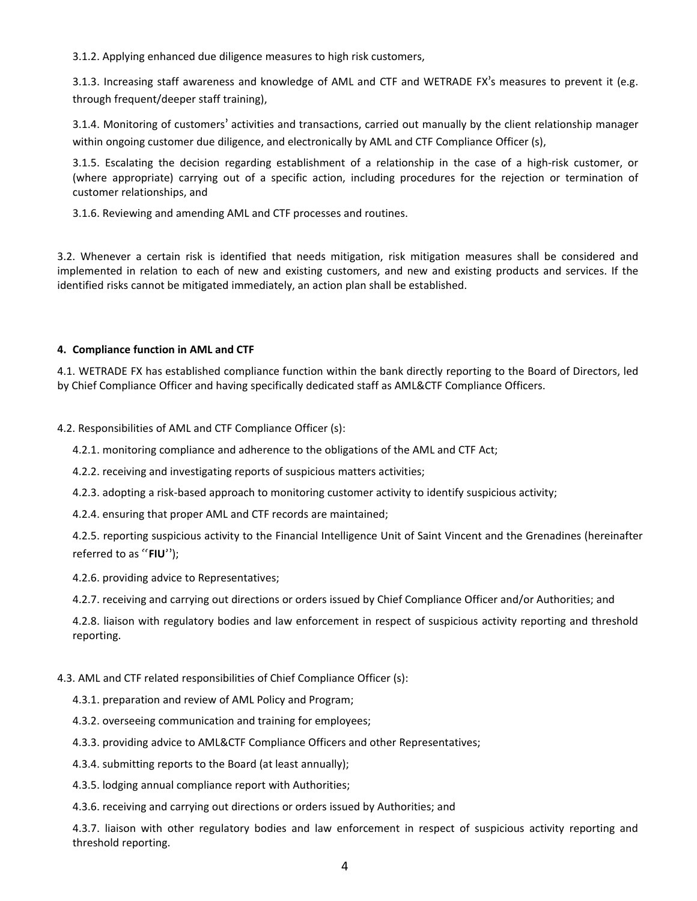3.1.2. Applying enhanced due diligence measures to high risk customers,

3.1.3. Increasing staff awareness and knowledge of AML and CTF and WETRADE FX's measures to prevent it (e.g. through frequent/deeper staff training),

3.1.4. Monitoring of customers' activities and transactions, carried out manually by the client relationship manager within ongoing customer due diligence, and electronically by AML and CTF Compliance Officer (s),

3.1.5. Escalating the decision regarding establishment of a relationship in the case of a high-risk customer, or (where appropriate) carrying out of a specific action, including procedures for the rejection or termination of customer relationships, and

3.1.6. Reviewing and amending AML and CTF processes and routines.

3.2. Whenever a certain risk is identified that needs mitigation, risk mitigation measures shall be considered and implemented in relation to each of new and existing customers, and new and existing products and services. If the identified risks cannot be mitigated immediately, an action plan shall be established.

# **4. Compliance function in AML and CTF**

4.1. WETRADE FX has established compliance function within the bank directly reporting to the Board of Directors, led by Chief Compliance Officer and having specifically dedicated staff as AML&CTF Compliance Officers.

4.2. Responsibilities of AML and CTF Compliance Officer (s):

4.2.1. monitoring compliance and adherence to the obligations of the AML and CTF Act;

- 4.2.2. receiving and investigating reports of suspicious matters activities;
- 4.2.3. adopting a risk-based approach to monitoring customer activity to identify suspicious activity;
- 4.2.4. ensuring that proper AML and CTF records are maintained;

4.2.5. reporting suspicious activity to the Financial Intelligence Unit of Saint Vincent and the Grenadines (hereinafter referred to as "**FIU**");

4.2.6. providing advice to Representatives;

4.2.7. receiving and carrying out directions or orders issued by Chief Compliance Officer and/or Authorities; and

4.2.8. liaison with regulatory bodies and law enforcement in respect of suspicious activity reporting and threshold reporting.

# 4.3. AML and CTF related responsibilities of Chief Compliance Officer (s):

- 4.3.1. preparation and review of AML Policy and Program;
- 4.3.2. overseeing communication and training for employees;
- 4.3.3. providing advice to AML&CTF Compliance Officers and other Representatives;
- 4.3.4. submitting reports to the Board (at least annually);
- 4.3.5. lodging annual compliance report with Authorities;
- 4.3.6. receiving and carrying out directions or orders issued by Authorities; and

4.3.7. liaison with other regulatory bodies and law enforcement in respect of suspicious activity reporting and threshold reporting.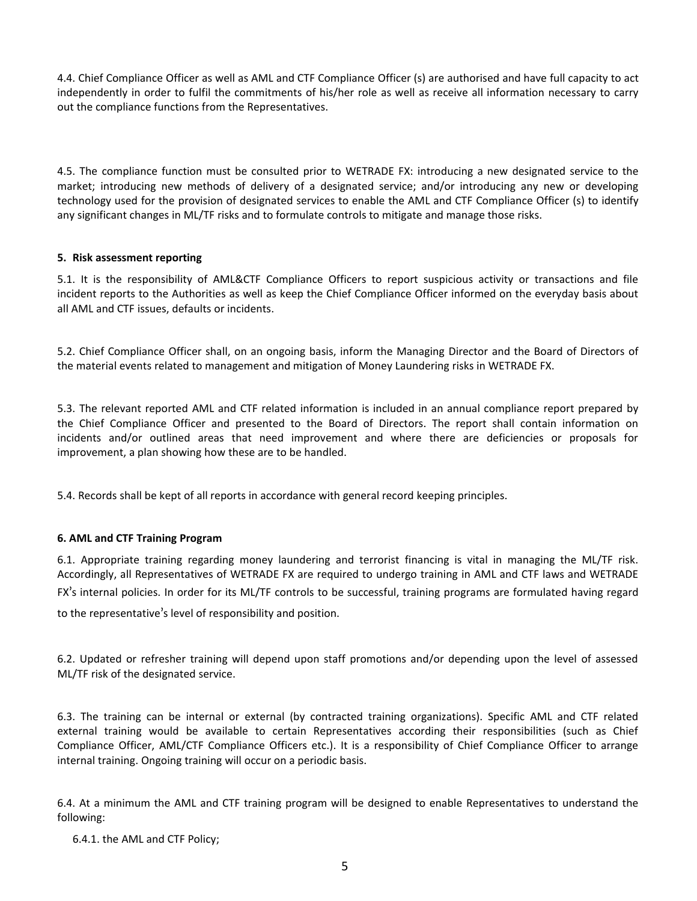4.4. Chief Compliance Officer as well as AML and CTF Compliance Officer (s) are authorised and have full capacity to act independently in order to fulfil the commitments of his/her role as well as receive all information necessary to carry out the compliance functions from the Representatives.

4.5. The compliance function must be consulted prior to WETRADE FX: introducing a new designated service to the market; introducing new methods of delivery of a designated service; and/or introducing any new or developing technology used for the provision of designated services to enable the AML and CTF Compliance Officer (s) to identify any significant changes in ML/TF risks and to formulate controls to mitigate and manage those risks.

# **5. Risk assessment reporting**

5.1. It is the responsibility of AML&CTF Compliance Officers to report suspicious activity or transactions and file incident reports to the Authorities as well as keep the Chief Compliance Officer informed on the everyday basis about all AML and CTF issues, defaults or incidents.

5.2. Chief Compliance Officer shall, on an ongoing basis, inform the Managing Director and the Board of Directors of the material events related to management and mitigation of Money Laundering risks in WETRADE FX.

5.3. The relevant reported AML and CTF related information is included in an annual compliance report prepared by the Chief Compliance Officer and presented to the Board of Directors. The reportshall contain information on incidents and/or outlined areas that need improvement and where there are deficiencies or proposals for improvement, a plan showing how these are to be handled.

5.4. Records shall be kept of all reports in accordance with general record keeping principles.

# **6. AML and CTF Training Program**

6.1. Appropriate training regarding money laundering and terrorist financing is vital in managing the ML/TF risk. Accordingly, all Representatives of WETRADE FX are required to undergo training in AML and CTF laws and WETRADE FX's internal policies. In order for its ML/TF controls to be successful, training programs are formulated having regard

to the representative's level of responsibility and position.

6.2. Updated or refresher training will depend upon staff promotions and/or depending upon the level of assessed ML/TF risk of the designated service.

6.3. The training can be internal or external (by contracted training organizations). Specific AML and CTF related external training would be available to certain Representatives according their responsibilities (such as Chief Compliance Officer, AML/CTF Compliance Officers etc.). It is a responsibility of Chief Compliance Officer to arrange internal training. Ongoing training will occur on a periodic basis.

6.4. At a minimum the AML and CTF training program will be designed to enable Representatives to understand the following:

6.4.1. the AML and CTF Policy;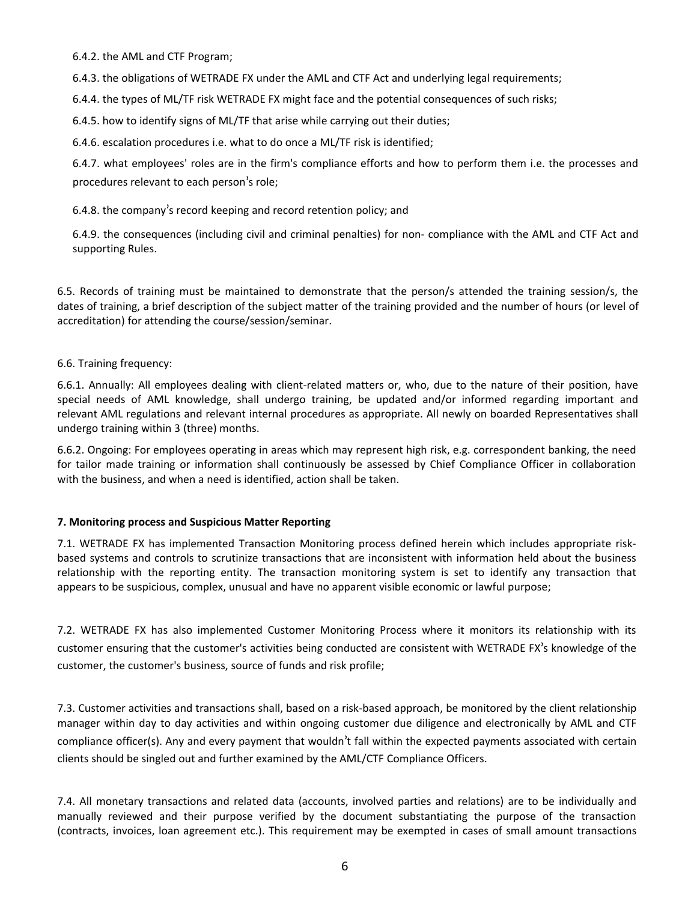6.4.2. the AML and CTF Program;

6.4.3. the obligations of WETRADE FX under the AML and CTF Act and underlying legal requirements;

6.4.4. the types of ML/TF risk WETRADE FX might face and the potential consequences of such risks;

6.4.5. how to identify signs of ML/TF that arise while carrying out their duties;

6.4.6. escalation procedures i.e. what to do once a ML/TF risk is identified;

6.4.7. what employees' roles are in the firm's compliance efforts and how to perform them i.e. the processes and procedures relevant to each person's role;

6.4.8. the company's record keeping and record retention policy; and

6.4.9. the consequences (including civil and criminal penalties) for non- compliance with the AML and CTF Act and supporting Rules.

6.5. Records of training must be maintained to demonstrate that the person/s attended the training session/s, the dates of training, a brief description of the subject matter of the training provided and the number of hours (or level of accreditation) for attending the course/session/seminar.

# 6.6. Training frequency:

6.6.1. Annually: All employees dealing with client-related matters or, who, due to the nature of their position, have special needs of AML knowledge, shall undergo training, be updated and/or informed regarding important and relevant AML regulations and relevant internal procedures as appropriate. All newly on boarded Representatives shall undergo training within 3 (three) months.

6.6.2. Ongoing: For employees operating in areas which may represent high risk, e.g. correspondent banking, the need for tailor made training or information shall continuously be assessed byChief Compliance Officer in collaboration with the business, and when a need is identified, action shall be taken.

# **7. Monitoring process and Suspicious Matter Reporting**

7.1. WETRADE FX has implemented Transaction Monitoring process defined herein which includes appropriate risk based systems and controls to scrutinize transactions that are inconsistent with information held about the business relationship with the reporting entity. The transaction monitoring system is set to identify any transaction that appears to be suspicious, complex, unusual and have no apparent visible economic or lawful purpose;

7.2. WETRADE FX has also implemented Customer Monitoring Process where it monitors its relationship with its customer ensuring that the customer's activities being conducted are consistent with WETRADE FX's knowledge of the customer, the customer's business, source of funds and risk profile;

7.3. Customer activities and transactions shall, based on a risk-based approach, be monitored by the client relationship manager within day to day activities and within ongoing customer due diligence and electronically by AML and CTF compliance officer(s). Any and every payment that wouldn't fall within the expected payments associated with certain clients should be singled out and further examined by the AML/CTF Compliance Officers.

7.4. All monetary transactions and related data (accounts, involved parties and relations) are to be individually and manually reviewed and their purpose verified by the document substantiating the purpose of the transaction (contracts, invoices, loan agreement etc.). This requirement may be exempted in cases of small amount transactions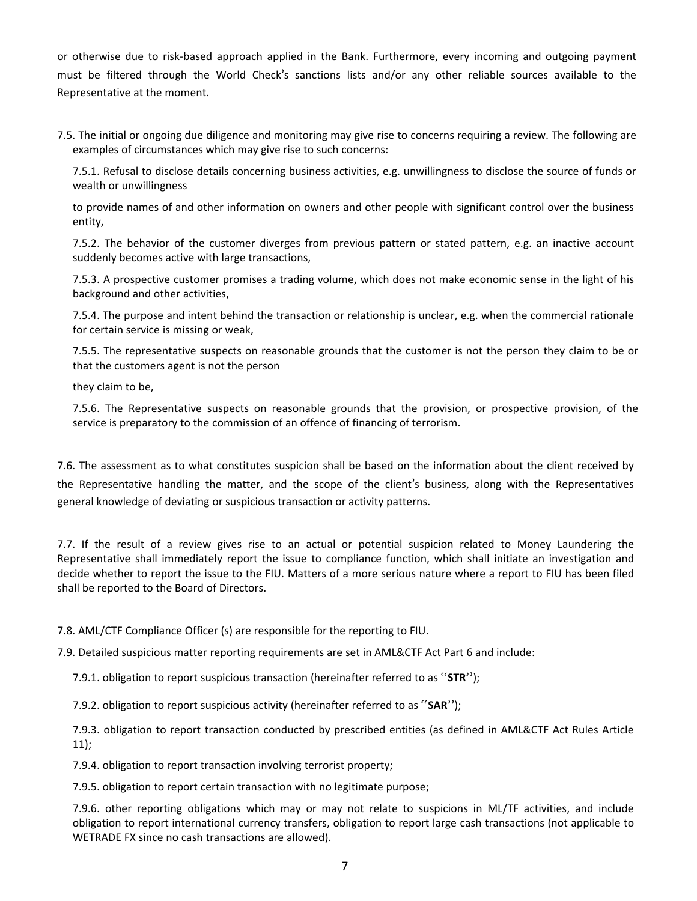or otherwise due to risk-based approach applied in the Bank. Furthermore, every incoming and outgoing payment must be filtered through the World Check's sanctions lists and/or any other reliable sources available to the Representative at the moment.

7.5. The initial or ongoing due diligence and monitoring may give rise to concerns requiring a review. The following are examples of circumstances which may give rise to such concerns:

7.5.1. Refusal to disclose details concerning business activities, e.g. unwillingness to disclose the source of funds or wealth or unwillingness

to provide names of and other information on owners and other people with significant control over the business entity,

7.5.2. The behavior of the customer diverges from previous pattern or stated pattern, e.g. an inactive account suddenly becomes active with large transactions,

7.5.3. A prospective customer promises a trading volume, which does not make economic sense in the light of his background and other activities,

7.5.4. The purpose and intent behind the transaction or relationship is unclear, e.g. when the commercial rationale for certain service is missing or weak,

7.5.5. The representative suspects on reasonable grounds that the customer is not the person they claim to be or that the customers agent is not the person

they claim to be,

7.5.6. The Representative suspects on reasonable grounds that the provision, or prospective provision, of the service is preparatory to the commission of an offence of financing of terrorism.

7.6. The assessment as to what constitutes suspicion shall be based on the information about the client received by the Representative handling the matter, and the scope of the client's business, along with the Representatives general knowledge of deviating or suspicious transaction or activity patterns.

7.7. If the result of a review gives rise to an actual or potential suspicion related to Money Laundering the Representative shall immediately report the issue to compliance function, which shall initiate an investigation and decide whether to report the issue to the FIU. Matters of a more serious nature where a report to FIU has been filed shall be reported to the Board of Directors.

7.8. AML/CTF Compliance Officer (s) are responsible for the reporting to FIU.

7.9. Detailed suspicious matter reporting requirements are set in AML&CTF Act Part 6 and include:

7.9.1. obligation to report suspicious transaction (hereinafter referred to as "**STR**");

7.9.2. obligation to report suspicious activity (hereinafter referred to as "**SAR**");

7.9.3. obligation to report transaction conducted by prescribed entities (as defined in AML&CTF Act Rules Article 11);

7.9.4. obligation to report transaction involving terrorist property;

7.9.5. obligation to report certain transaction with no legitimate purpose;

7.9.6. other reporting obligations which may or may not relate to suspicions in ML/TF activities, and include obligation to report international currency transfers, obligation to report large cash transactions (not applicable to WETRADE FX since no cash transactions are allowed).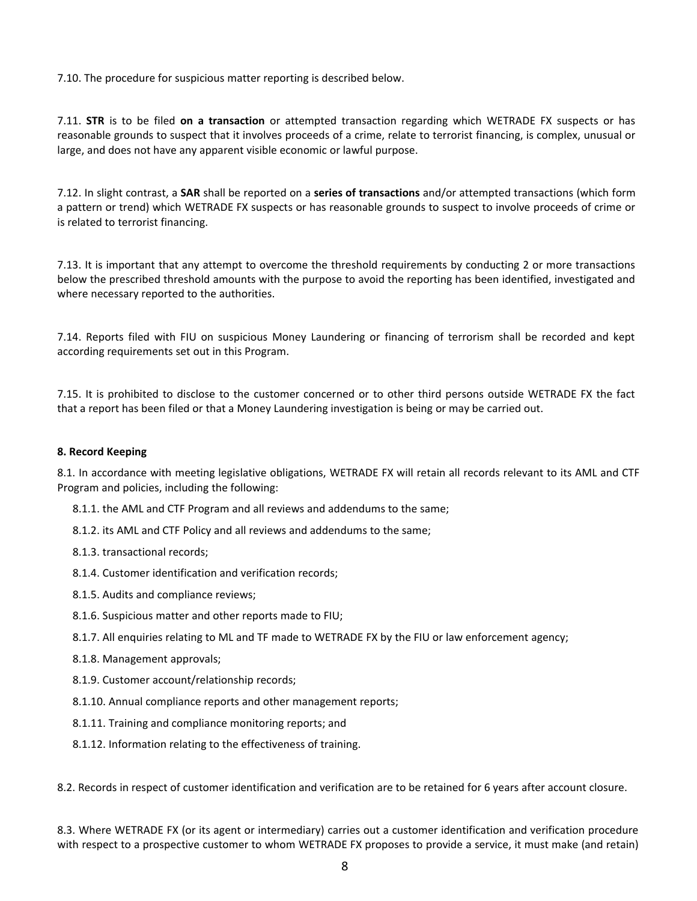7.10. The procedure for suspicious matter reporting is described below.

7.11. **STR** is to be filed **on a transaction** or attempted transaction regarding which WETRADE FX suspects or has reasonable grounds to suspect that it involves proceeds of a crime, relate to terrorist financing, is complex, unusual or large, and does not have any apparent visible economic or lawful purpose.

7.12. In slight contrast, a **SAR** shall be reported on a **series of transactions** and/or attempted transactions (which form a pattern or trend) which WETRADE FX suspects or has reasonable grounds to suspect to involve proceeds of crime or is related to terrorist financing.

7.13. It is important that any attempt to overcome the threshold requirements by conducting 2 or more transactions below the prescribed threshold amounts with the purpose to avoid the reporting has been identified, investigated and where necessary reported to the authorities.

7.14. Reports filed with FIU on suspicious Money Laundering or financing of terrorism shall be recorded and kept according requirements set out in this Program.

7.15. It is prohibited to disclose to the customer concerned or to other third persons outside WETRADE FX the fact that a report has been filed or that a Money Laundering investigation is being or may be carried out.

### **8. Record Keeping**

8.1. In accordance with meeting legislative obligations, WETRADE FX will retain all records relevant to its AML and CTF Program and policies, including the following:

- 8.1.1. the AML and CTF Program and all reviews and addendums to the same;
- 8.1.2. its AML and CTF Policy and all reviews and addendums to the same;
- 8.1.3. transactional records;
- 8.1.4. Customer identification and verification records;
- 8.1.5. Audits and compliance reviews;
- 8.1.6. Suspicious matter and other reports made to FIU;
- 8.1.7. All enquiries relating to ML and TF made to WETRADE FX by the FIU or law enforcement agency;
- 8.1.8. Management approvals;
- 8.1.9. Customer account/relationship records;
- 8.1.10. Annual compliance reports and other management reports;
- 8.1.11. Training and compliance monitoring reports; and
- 8.1.12. Information relating to the effectiveness of training.

8.2. Records in respect of customer identification and verification are to be retained for 6 years after account closure.

8.3. Where WETRADE FX (or its agent or intermediary) carries out a customer identification and verification procedure with respect to a prospective customer to whom WETRADE FX proposes to provide a service, it must make (and retain)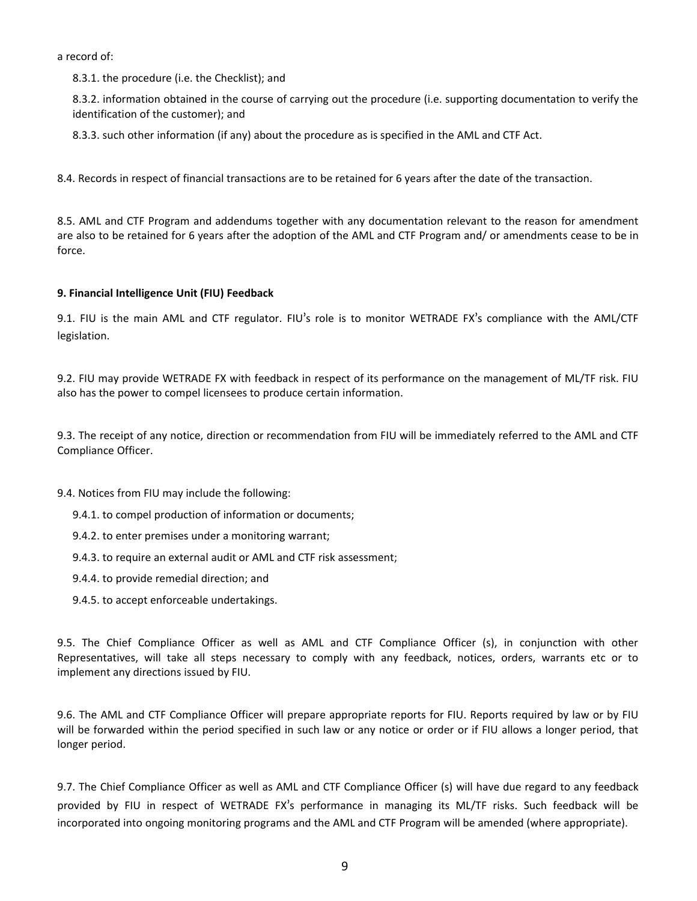a record of:

8.3.1. the procedure (i.e. the Checklist); and

8.3.2. information obtained in the course of carrying out the procedure (i.e. supporting documentation to verify the identification of the customer); and

8.3.3. such other information (if any) about the procedure as isspecified in the AML and CTF Act.

8.4. Records in respect of financial transactions are to be retained for 6 years after the date of the transaction.

8.5. AML and CTF Program and addendums together with any documentation relevant to the reason for amendment are also to be retained for 6 years after the adoption of the AML and CTF Program and/ or amendments cease to be in force.

# **9. Financial Intelligence Unit (FIU) Feedback**

9.1. FIU is the main AML and CTF regulator. FIU's role is to monitor WETRADE FX's compliance with the AML/CTF legislation.

9.2. FIU may provide WETRADE FX with feedback in respect of its performance on the management of ML/TF risk. FIU also has the power to compel licensees to produce certain information.

9.3. The receipt of any notice, direction or recommendation from FIU will be immediately referred to the AML and CTF Compliance Officer.

- 9.4. Notices from FIU may include the following:
	- 9.4.1. to compel production of information or documents;
	- 9.4.2. to enter premises under a monitoring warrant;
	- 9.4.3. to require an external audit or AML and CTF risk assessment;
	- 9.4.4. to provide remedial direction; and
	- 9.4.5. to accept enforceable undertakings.

9.5. The Chief Compliance Officer as well as AML and CTF Compliance Officer (s), in conjunction with other Representatives, will take all steps necessary to comply with any feedback, notices, orders, warrants etc or to implement any directions issued by FIU.

9.6. The AML and CTF Compliance Officer will prepare appropriate reports for FIU. Reports required by law or by FIU will be forwarded within the period specified in such law or any notice or order or if FIU allows a longer period, that longer period.

9.7. The Chief Compliance Officer as well as AML and CTF Compliance Officer (s) will have due regard to any feedback provided by FIU in respect of WETRADE FX's performance in managing itsML/TF risks. Such feedback will be incorporated into ongoing monitoring programs and the AML and CTF Program will be amended (where appropriate).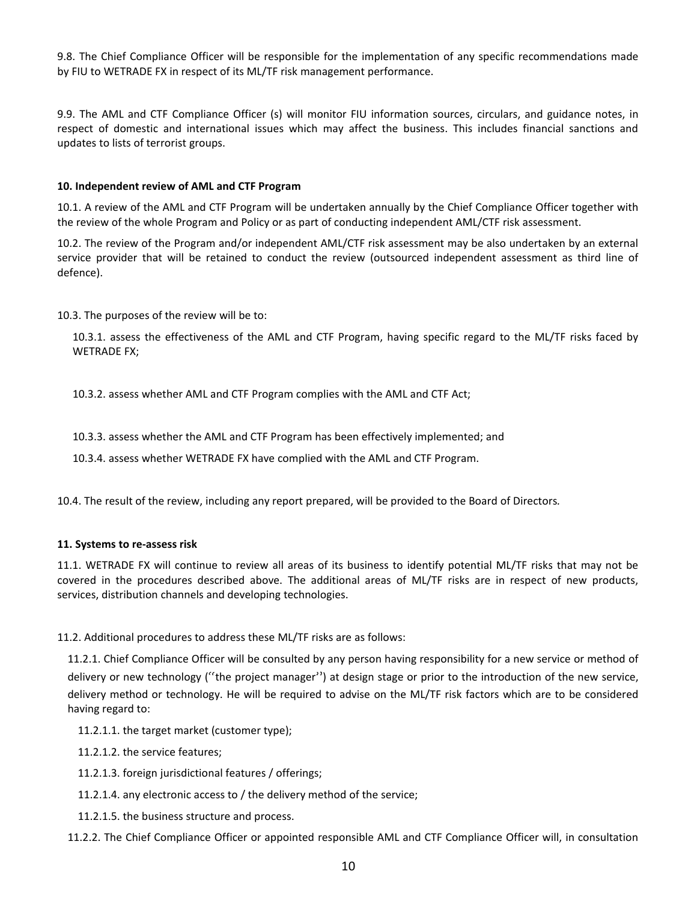9.8. The Chief Compliance Officer will be responsible for the implementation of any specific recommendations made by FIU to WETRADE FX in respect of its ML/TF risk management performance.

9.9. The AML and CTF Compliance Officer (s) will monitor FIU information sources, circulars, and guidance notes, in respect of domestic and international issues which may affect the business. This includes financial sanctions and updates to lists of terrorist groups.

# **10. Independent review of AML and CTF Program**

10.1. A review of the AML and CTF Program will be undertaken annually by the Chief Compliance Officer together with the review of the whole Program and Policy or as part of conducting independent AML/CTF risk assessment.

10.2. The review of the Program and/or independent AML/CTF risk assessment may be also undertaken by an external service provider that will be retained to conduct the review (outsourced independent assessment as third line of defence).

10.3. The purposes of the review will be to:

10.3.1. assess the effectiveness of the AML and CTF Program, having specific regard to the ML/TF risks faced by WETRADE FX;

10.3.2. assess whether AML and CTF Program complies with the AML and CTF Act;

10.3.3. assess whether the AML and CTF Program has been effectively implemented; and

10.3.4. assess whether WETRADE FX have complied with the AML and CTF Program.<br>10.4. The result of the review, including any report prepared, will be provided to the Board of Directors.

# **11. Systems to re-assess risk**

11.1. WETRADE FX will continue to review all areas of its business to identify potential ML/TF risks that may not be covered in the procedures described above. The additional areas of ML/TF risks are in respect of new products, services, distribution channels and developing technologies.

11.2. Additional procedures to address these ML/TF risks are as follows:

11.2.1. Chief Compliance Officer will be consulted by any person having responsibility for a new service or method of delivery or new technology ("the project manager") at design stage or prior to the introduction of the new service, delivery method or technology. He will be required to advise on the ML/TF risk factors which are to be considered having regard to:

11.2.1.1. the target market (customer type);

11.2.1.2. the service features;

- 11.2.1.3. foreign jurisdictional features / offerings;
- 11.2.1.4. any electronic access to / the delivery method of the service;
- 11.2.1.5. the business structure and process.

11.2.2. The Chief Compliance Officer or appointed responsible AML and CTF Compliance Officer will, in consultation